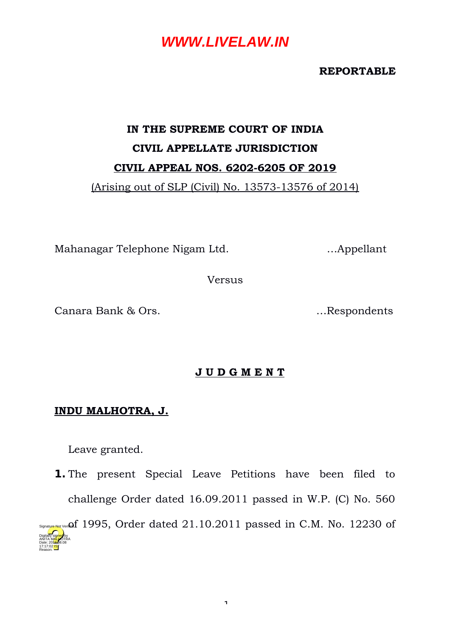**REPORTABLE**

# **IN THE SUPREME COURT OF INDIA CIVIL APPELLATE JURISDICTION CIVIL APPEAL NOS. 6202-6205 OF 2019**

(Arising out of SLP (Civil) No. 13573-13576 of 2014)

Mahanagar Telephone Nigam Ltd. …Appellant

Versus

Canara Bank & Ors. …Respondents

#### **J U D G M E N T**

#### **INDU MALHOTRA, J.**

Leave granted.

Reason:

**1.** The present Special Leave Petitions have been filed to challenge Order dated 16.09.2011 passed in W.P. (C) No. 560  $S<sub>SignatureING</sub>$ Veri $\Omega$ f 1995, Order dated 21.10.2011 passed in C.M. No. 12230 of Digitally signed by ANITA M<mark>AL H</mark>OTRA Date: 2010.08.08 17:17:02 IST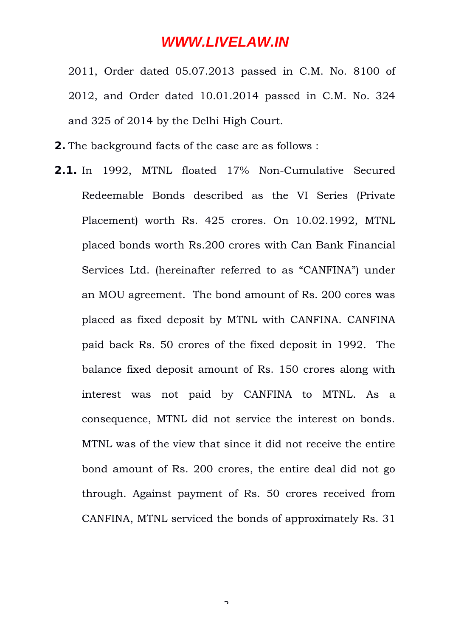2011, Order dated 05.07.2013 passed in C.M. No. 8100 of 2012, and Order dated 10.01.2014 passed in C.M. No. 324 and 325 of 2014 by the Delhi High Court.

- **2.** The background facts of the case are as follows :
- **2.1.** In 1992, MTNL floated 17% Non-Cumulative Secured Redeemable Bonds described as the VI Series (Private Placement) worth Rs. 425 crores. On 10.02.1992, MTNL placed bonds worth Rs.200 crores with Can Bank Financial Services Ltd. (hereinafter referred to as "CANFINA") under an MOU agreement. The bond amount of Rs. 200 cores was placed as fixed deposit by MTNL with CANFINA. CANFINA paid back Rs. 50 crores of the fixed deposit in 1992. The balance fixed deposit amount of Rs. 150 crores along with interest was not paid by CANFINA to MTNL. As a consequence, MTNL did not service the interest on bonds. MTNL was of the view that since it did not receive the entire bond amount of Rs. 200 crores, the entire deal did not go through. Against payment of Rs. 50 crores received from CANFINA, MTNL serviced the bonds of approximately Rs. 31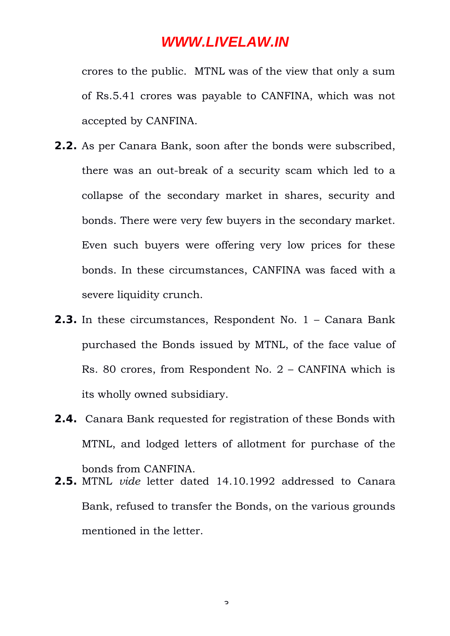crores to the public. MTNL was of the view that only a sum of Rs.5.41 crores was payable to CANFINA, which was not accepted by CANFINA.

- **2.2.** As per Canara Bank, soon after the bonds were subscribed, there was an out-break of a security scam which led to a collapse of the secondary market in shares, security and bonds. There were very few buyers in the secondary market. Even such buyers were offering very low prices for these bonds. In these circumstances, CANFINA was faced with a severe liquidity crunch.
- **2.3.** In these circumstances, Respondent No. 1 Canara Bank purchased the Bonds issued by MTNL, of the face value of Rs. 80 crores, from Respondent No. 2 – CANFINA which is its wholly owned subsidiary.
- **2.4.** Canara Bank requested for registration of these Bonds with MTNL, and lodged letters of allotment for purchase of the bonds from CANFINA.
- **2.5.** MTNL *vide* letter dated 14.10.1992 addressed to Canara Bank, refused to transfer the Bonds, on the various grounds mentioned in the letter.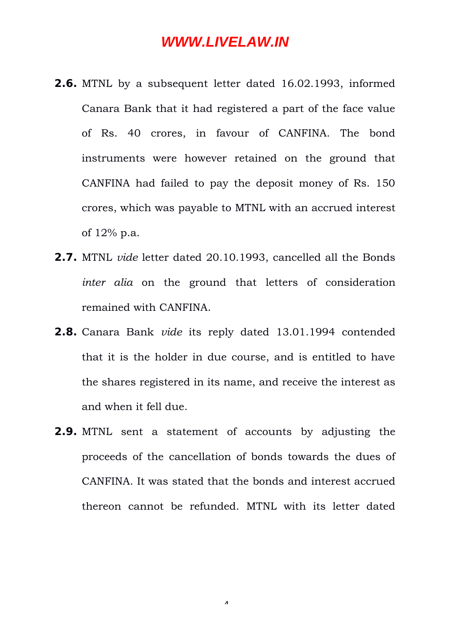- **2.6.** MTNL by a subsequent letter dated 16.02.1993, informed Canara Bank that it had registered a part of the face value of Rs. 40 crores, in favour of CANFINA. The bond instruments were however retained on the ground that CANFINA had failed to pay the deposit money of Rs. 150 crores, which was payable to MTNL with an accrued interest of 12% p.a.
- **2.7.** MTNL *vide* letter dated 20.10.1993, cancelled all the Bonds *inter alia* on the ground that letters of consideration remained with CANFINA.
- **2.8.** Canara Bank *vide* its reply dated 13.01.1994 contended that it is the holder in due course, and is entitled to have the shares registered in its name, and receive the interest as and when it fell due.
- **2.9.** MTNL sent a statement of accounts by adjusting the proceeds of the cancellation of bonds towards the dues of CANFINA. It was stated that the bonds and interest accrued thereon cannot be refunded. MTNL with its letter dated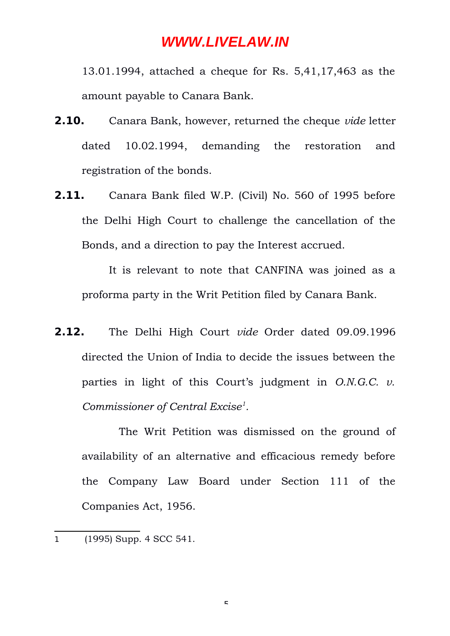13.01.1994, attached a cheque for Rs. 5,41,17,463 as the amount payable to Canara Bank.

- **2.10.** Canara Bank, however, returned the cheque *vide* letter dated 10.02.1994, demanding the restoration and registration of the bonds.
- **2.11.** Canara Bank filed W.P. (Civil) No. 560 of 1995 before the Delhi High Court to challenge the cancellation of the Bonds, and a direction to pay the Interest accrued.

It is relevant to note that CANFINA was joined as a proforma party in the Writ Petition filed by Canara Bank.

**2.12.** The Delhi High Court *vide* Order dated 09.09.1996 directed the Union of India to decide the issues between the parties in light of this Court's judgment in *O.N.G.C. v. Commissioner of Central Excise[1](#page-4-0) .*

The Writ Petition was dismissed on the ground of availability of an alternative and efficacious remedy before the Company Law Board under Section 111 of the Companies Act, 1956.

 $\mathbf{r}$ 

<span id="page-4-0"></span><sup>1</sup> (1995) Supp. 4 SCC 541.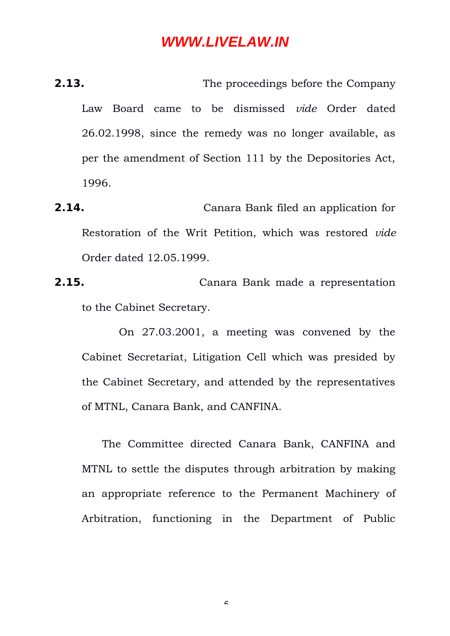**2.13.** The proceedings before the Company Law Board came to be dismissed *vide* Order dated 26.02.1998, since the remedy was no longer available, as per the amendment of Section 111 by the Depositories Act, 1996.

**2.14.** Canara Bank filed an application for Restoration of the Writ Petition, which was restored *vide* Order dated 12.05.1999.

**2.15.** Canara Bank made a representation to the Cabinet Secretary.

On 27.03.2001, a meeting was convened by the Cabinet Secretariat, Litigation Cell which was presided by the Cabinet Secretary, and attended by the representatives of MTNL, Canara Bank, and CANFINA.

 The Committee directed Canara Bank, CANFINA and MTNL to settle the disputes through arbitration by making an appropriate reference to the Permanent Machinery of Arbitration, functioning in the Department of Public

 $\epsilon$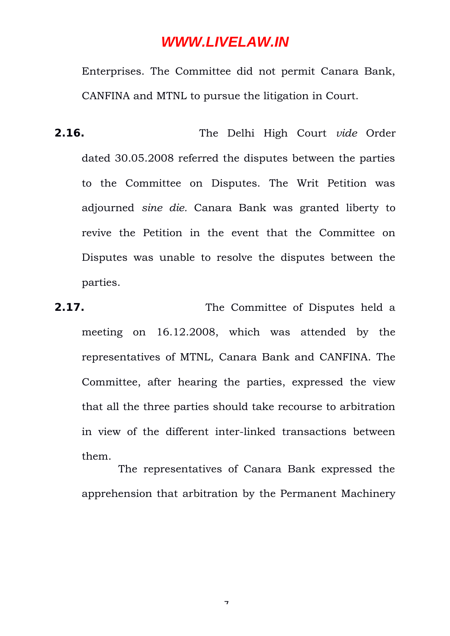Enterprises. The Committee did not permit Canara Bank, CANFINA and MTNL to pursue the litigation in Court.

- **2.16.** The Delhi High Court *vide* Order dated 30.05.2008 referred the disputes between the parties to the Committee on Disputes. The Writ Petition was adjourned *sine die.* Canara Bank was granted liberty to revive the Petition in the event that the Committee on Disputes was unable to resolve the disputes between the parties.
- **2.17.** The Committee of Disputes held a meeting on 16.12.2008, which was attended by the representatives of MTNL, Canara Bank and CANFINA. The Committee, after hearing the parties, expressed the view that all the three parties should take recourse to arbitration in view of the different inter-linked transactions between them.

 The representatives of Canara Bank expressed the apprehension that arbitration by the Permanent Machinery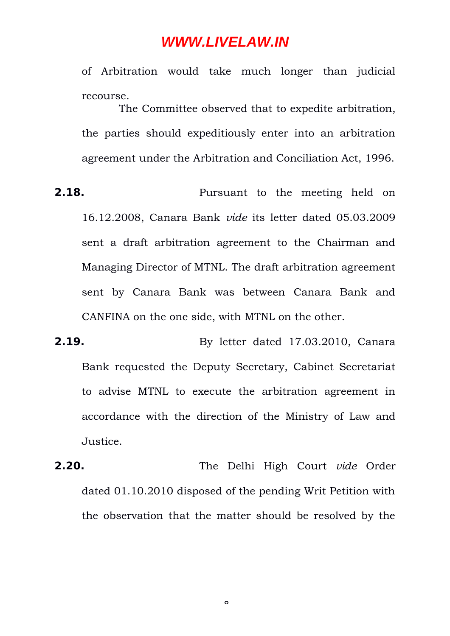of Arbitration would take much longer than judicial recourse.

The Committee observed that to expedite arbitration, the parties should expeditiously enter into an arbitration agreement under the Arbitration and Conciliation Act, 1996.

- **2.18.** Pursuant to the meeting held on 16.12.2008, Canara Bank *vide* its letter dated 05.03.2009 sent a draft arbitration agreement to the Chairman and Managing Director of MTNL. The draft arbitration agreement sent by Canara Bank was between Canara Bank and CANFINA on the one side, with MTNL on the other.
- **2.19.** By letter dated 17.03.2010, Canara Bank requested the Deputy Secretary, Cabinet Secretariat to advise MTNL to execute the arbitration agreement in accordance with the direction of the Ministry of Law and Justice.
- **2.20.** The Delhi High Court *vide* Order dated 01.10.2010 disposed of the pending Writ Petition with the observation that the matter should be resolved by the

 $\circ$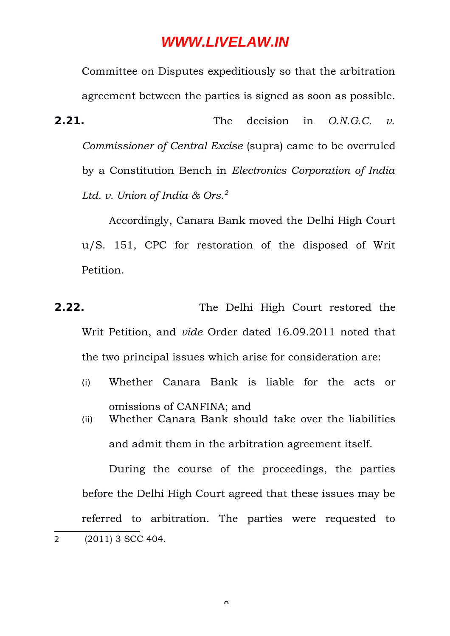Committee on Disputes expeditiously so that the arbitration agreement between the parties is signed as soon as possible. **2.21.** The decision in *O.N.G.C. v. Commissioner of Central Excise* (supra) came to be overruled by a Constitution Bench in *Electronics Corporation of India Ltd. v. Union of India & Ors.[2](#page-8-0)*

Accordingly, Canara Bank moved the Delhi High Court u/S. 151, CPC for restoration of the disposed of Writ Petition.

**2.22.** The Delhi High Court restored the Writ Petition, and *vide* Order dated 16.09.2011 noted that the two principal issues which arise for consideration are:

- (i) Whether Canara Bank is liable for the acts or omissions of CANFINA; and
- (ii) Whether Canara Bank should take over the liabilities and admit them in the arbitration agreement itself.

<span id="page-8-0"></span>During the course of the proceedings, the parties before the Delhi High Court agreed that these issues may be referred to arbitration. The parties were requested to 2 (2011) 3 SCC 404.

 $\Omega$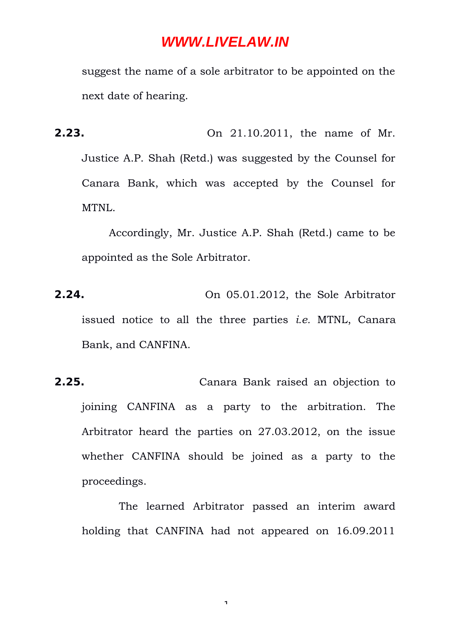suggest the name of a sole arbitrator to be appointed on the next date of hearing.

**2.23.** On 21.10.2011, the name of Mr. Justice A.P. Shah (Retd.) was suggested by the Counsel for Canara Bank, which was accepted by the Counsel for MTNL.

Accordingly, Mr. Justice A.P. Shah (Retd.) came to be appointed as the Sole Arbitrator.

- **2.24.** On 05.01.2012, the Sole Arbitrator issued notice to all the three parties *i.e.* MTNL, Canara Bank, and CANFINA.
- **2.25.** Canara Bank raised an objection to joining CANFINA as a party to the arbitration. The Arbitrator heard the parties on 27.03.2012, on the issue whether CANFINA should be joined as a party to the proceedings.

The learned Arbitrator passed an interim award holding that CANFINA had not appeared on 16.09.2011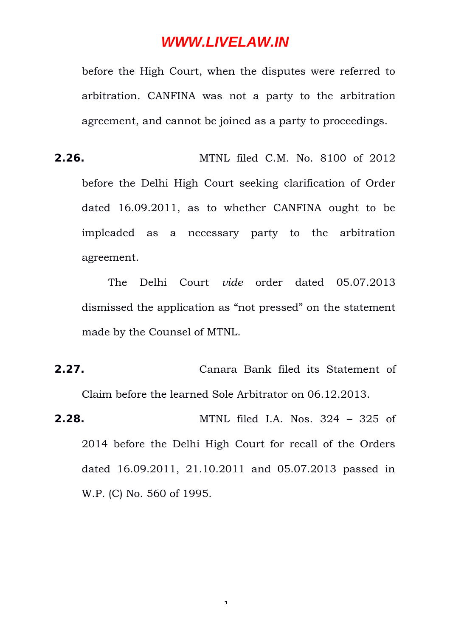before the High Court, when the disputes were referred to arbitration. CANFINA was not a party to the arbitration agreement, and cannot be joined as a party to proceedings.

**2.26.** MTNL filed C.M. No. 8100 of 2012 before the Delhi High Court seeking clarification of Order dated 16.09.2011, as to whether CANFINA ought to be impleaded as a necessary party to the arbitration agreement.

The Delhi Court *vide* order dated 05.07.2013 dismissed the application as "not pressed" on the statement made by the Counsel of MTNL.

- **2.27.** Canara Bank filed its Statement of Claim before the learned Sole Arbitrator on 06.12.2013.
- **2.28.** MTNL filed I.A. Nos. 324 325 of 2014 before the Delhi High Court for recall of the Orders dated 16.09.2011, 21.10.2011 and 05.07.2013 passed in W.P. (C) No. 560 of 1995.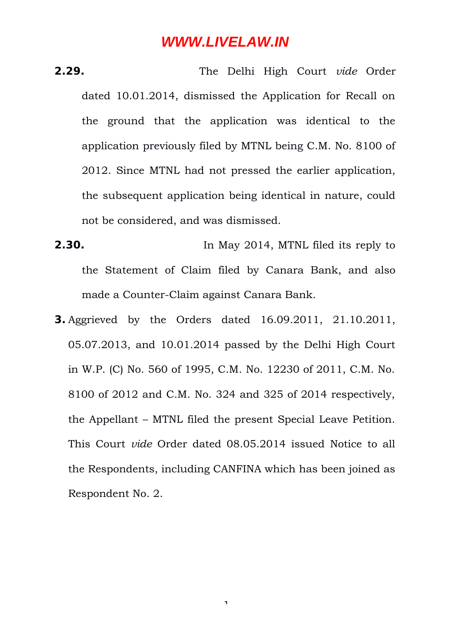- **2.29.** The Delhi High Court *vide* Order dated 10.01.2014, dismissed the Application for Recall on the ground that the application was identical to the application previously filed by MTNL being C.M. No. 8100 of 2012. Since MTNL had not pressed the earlier application, the subsequent application being identical in nature, could not be considered, and was dismissed.
- **2.30.** In May 2014, MTNL filed its reply to the Statement of Claim filed by Canara Bank, and also made a Counter-Claim against Canara Bank.
- **3.** Aggrieved by the Orders dated 16.09.2011, 21.10.2011, 05.07.2013, and 10.01.2014 passed by the Delhi High Court in W.P. (C) No. 560 of 1995, C.M. No. 12230 of 2011, C.M. No. 8100 of 2012 and C.M. No. 324 and 325 of 2014 respectively, the Appellant – MTNL filed the present Special Leave Petition. This Court *vide* Order dated 08.05.2014 issued Notice to all the Respondents, including CANFINA which has been joined as Respondent No. 2.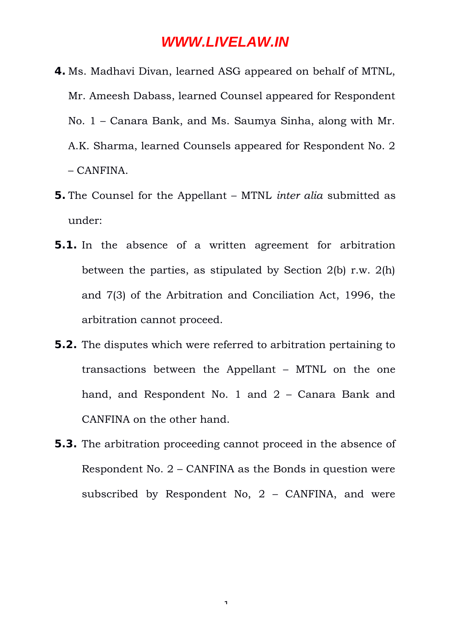- **4.** Ms. Madhavi Divan, learned ASG appeared on behalf of MTNL, Mr. Ameesh Dabass, learned Counsel appeared for Respondent No. 1 – Canara Bank, and Ms. Saumya Sinha, along with Mr. A.K. Sharma, learned Counsels appeared for Respondent No. 2 – CANFINA.
- **5.** The Counsel for the Appellant MTNL *inter alia* submitted as under:
- **5.1.** In the absence of a written agreement for arbitration between the parties, as stipulated by Section 2(b) r.w. 2(h) and 7(3) of the Arbitration and Conciliation Act, 1996, the arbitration cannot proceed.
- **5.2.** The disputes which were referred to arbitration pertaining to transactions between the Appellant – MTNL on the one hand, and Respondent No. 1 and 2 – Canara Bank and CANFINA on the other hand.
- **5.3.** The arbitration proceeding cannot proceed in the absence of Respondent No. 2 – CANFINA as the Bonds in question were subscribed by Respondent No,  $2 - \text{CANFINA}$ , and were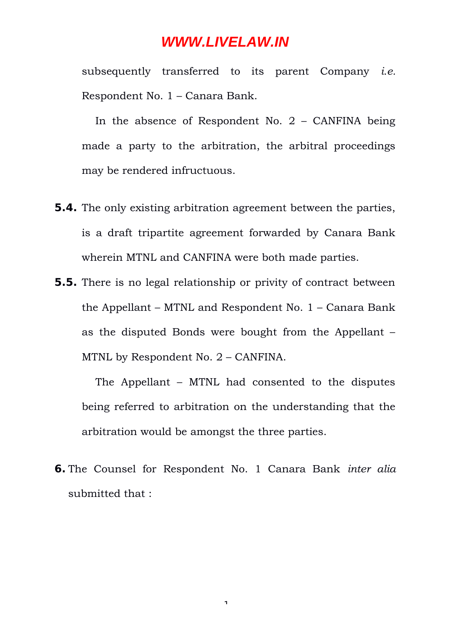subsequently transferred to its parent Company *i.e.* Respondent No. 1 – Canara Bank.

In the absence of Respondent No.  $2 - \text{CANFINA}$  being made a party to the arbitration, the arbitral proceedings may be rendered infructuous.

- **5.4.** The only existing arbitration agreement between the parties, is a draft tripartite agreement forwarded by Canara Bank wherein MTNL and CANFINA were both made parties.
- **5.5.** There is no legal relationship or privity of contract between the Appellant – MTNL and Respondent No. 1 – Canara Bank as the disputed Bonds were bought from the Appellant – MTNL by Respondent No. 2 – CANFINA.

The Appellant – MTNL had consented to the disputes being referred to arbitration on the understanding that the arbitration would be amongst the three parties.

**6.** The Counsel for Respondent No. 1 Canara Bank *inter alia* submitted that :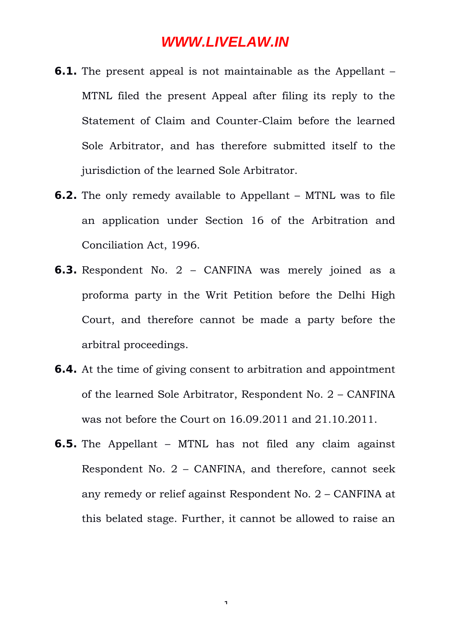- **6.1.** The present appeal is not maintainable as the Appellant MTNL filed the present Appeal after filing its reply to the Statement of Claim and Counter-Claim before the learned Sole Arbitrator, and has therefore submitted itself to the jurisdiction of the learned Sole Arbitrator.
- **6.2.** The only remedy available to Appellant MTNL was to file an application under Section 16 of the Arbitration and Conciliation Act, 1996.
- **6.3.** Respondent No. 2 CANFINA was merely joined as a proforma party in the Writ Petition before the Delhi High Court, and therefore cannot be made a party before the arbitral proceedings.
- **6.4.** At the time of giving consent to arbitration and appointment of the learned Sole Arbitrator, Respondent No. 2 – CANFINA was not before the Court on 16.09.2011 and 21.10.2011.
- **6.5.** The Appellant MTNL has not filed any claim against Respondent No. 2 – CANFINA, and therefore, cannot seek any remedy or relief against Respondent No. 2 – CANFINA at this belated stage. Further, it cannot be allowed to raise an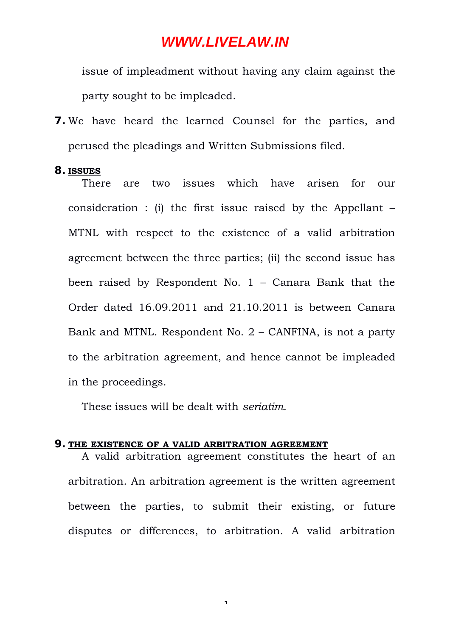issue of impleadment without having any claim against the party sought to be impleaded.

**7.** We have heard the learned Counsel for the parties, and perused the pleadings and Written Submissions filed.

#### **8. ISSUES**

There are two issues which have arisen for our consideration : (i) the first issue raised by the Appellant – MTNL with respect to the existence of a valid arbitration agreement between the three parties; (ii) the second issue has been raised by Respondent No. 1 – Canara Bank that the Order dated 16.09.2011 and 21.10.2011 is between Canara Bank and MTNL. Respondent No. 2 – CANFINA, is not a party to the arbitration agreement, and hence cannot be impleaded in the proceedings.

These issues will be dealt with *seriatim.*

#### **9. THE EXISTENCE OF A VALID ARBITRATION AGREEMENT**

A valid arbitration agreement constitutes the heart of an arbitration. An arbitration agreement is the written agreement between the parties, to submit their existing, or future disputes or differences, to arbitration. A valid arbitration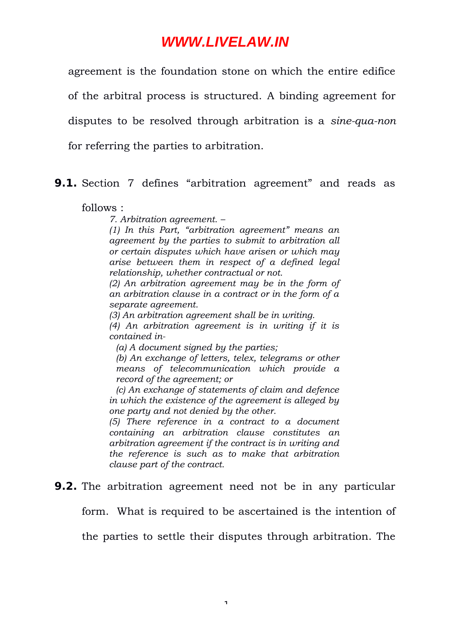agreement is the foundation stone on which the entire edifice of the arbitral process is structured. A binding agreement for disputes to be resolved through arbitration is a *sine-qua-non* for referring the parties to arbitration.

#### **9.1.** Section 7 defines "arbitration agreement" and reads as

follows :

*7. Arbitration agreement. –*

*(1) In this Part, "arbitration agreement" means an agreement by the parties to submit to arbitration all or certain disputes which have arisen or which may arise between them in respect of a defined legal relationship, whether contractual or not.*

*(2) An arbitration agreement may be in the form of an arbitration clause in a contract or in the form of a separate agreement.*

*(3) An arbitration agreement shall be in writing.*

*(4) An arbitration agreement is in writing if it is contained in-*

*(a) A document signed by the parties;*

*(b) An exchange of letters, telex, telegrams or other means of telecommunication which provide a record of the agreement; or*

*(c) An exchange of statements of claim and defence in which the existence of the agreement is alleged by one party and not denied by the other.*

*(5) There reference in a contract to a document containing an arbitration clause constitutes an arbitration agreement if the contract is in writing and the reference is such as to make that arbitration clause part of the contract.*

#### **9.2.** The arbitration agreement need not be in any particular

form. What is required to be ascertained is the intention of

the parties to settle their disputes through arbitration. The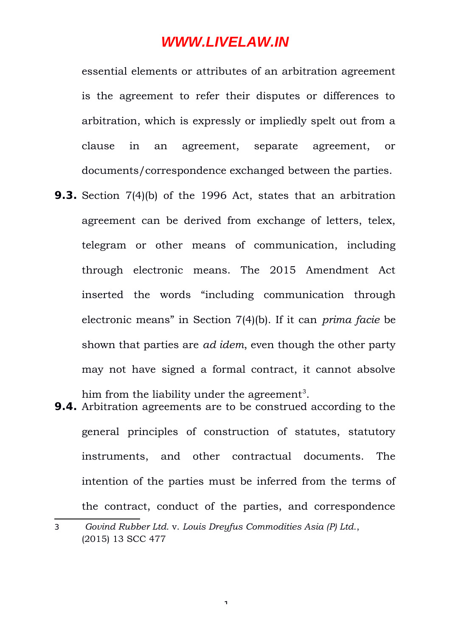essential elements or attributes of an arbitration agreement is the agreement to refer their disputes or differences to arbitration, which is expressly or impliedly spelt out from a clause in an agreement, separate agreement, or documents/correspondence exchanged between the parties.

- **9.3.** Section 7(4)(b) of the 1996 Act, states that an arbitration agreement can be derived from exchange of letters, telex, telegram or other means of communication, including through electronic means. The 2015 Amendment Act inserted the words "including communication through electronic means" in Section 7(4)(b). If it can *prima facie* be shown that parties are *ad idem*, even though the other party may not have signed a formal contract, it cannot absolve him from the liability under the agreement<sup>[3](#page-17-0)</sup>.
- **9.4.** Arbitration agreements are to be construed according to the general principles of construction of statutes, statutory instruments, and other contractual documents. The intention of the parties must be inferred from the terms of the contract, conduct of the parties, and correspondence

<span id="page-17-0"></span><sup>3</sup> *Govind Rubber Ltd.* v. *Louis Dreyfus Commodities Asia (P) Ltd.*, (2015) 13 SCC 477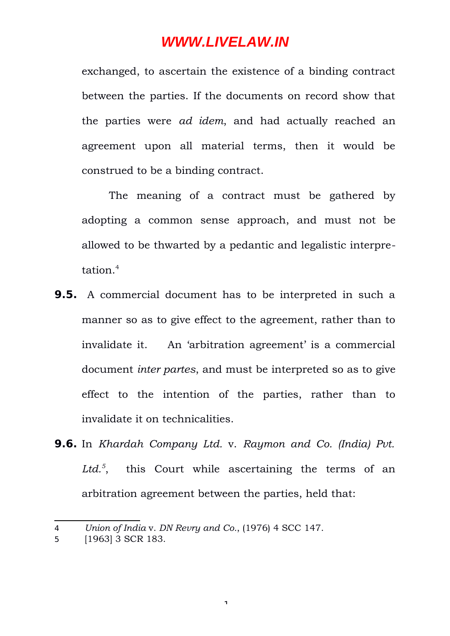exchanged, to ascertain the existence of a binding contract between the parties. If the documents on record show that the parties were *ad idem*, and had actually reached an agreement upon all material terms, then it would be construed to be a binding contract.

The meaning of a contract must be gathered by adopting a common sense approach, and must not be allowed to be thwarted by a pedantic and legalistic interpretation.[4](#page-18-0)

- **9.5.** A commercial document has to be interpreted in such a manner so as to give effect to the agreement, rather than to invalidate it. An 'arbitration agreement' is a commercial document *inter partes*, and must be interpreted so as to give effect to the intention of the parties, rather than to invalidate it on technicalities.
- **9.6.** In *Khardah Company Ltd.* v. *Raymon and Co. (India) Pvt. Ltd.[5](#page-18-1)* , this Court while ascertaining the terms of an arbitration agreement between the parties, held that:

<span id="page-18-0"></span><sup>4</sup> *Union of India* v. *DN Revry and Co.*, (1976) 4 SCC 147.

<span id="page-18-1"></span><sup>5</sup> [1963] 3 SCR 183.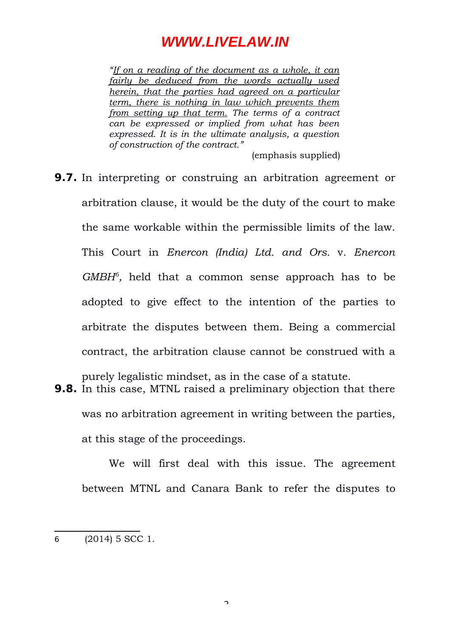*"If on a reading of the document as a whole, it can fairly be deduced from the words actually used herein, that the parties had agreed on a particular term, there is nothing in law which prevents them from setting up that term. The terms of a contract can be expressed or implied from what has been expressed. It is in the ultimate analysis, a question of construction of the contract."*

(emphasis supplied)

**9.7.** In interpreting or construing an arbitration agreement or arbitration clause, it would be the duty of the court to make the same workable within the permissible limits of the law. This Court in *Enercon (India) Ltd. and Ors.* v. *Enercon* GMBH<sup>[6](#page-19-0)</sup>, held that a common sense approach has to be adopted to give effect to the intention of the parties to arbitrate the disputes between them. Being a commercial contract, the arbitration clause cannot be construed with a

purely legalistic mindset, as in the case of a statute.

**9.8.** In this case, MTNL raised a preliminary objection that there was no arbitration agreement in writing between the parties, at this stage of the proceedings.

We will first deal with this issue. The agreement between MTNL and Canara Bank to refer the disputes to

<span id="page-19-0"></span><sup>6</sup> (2014) 5 SCC 1.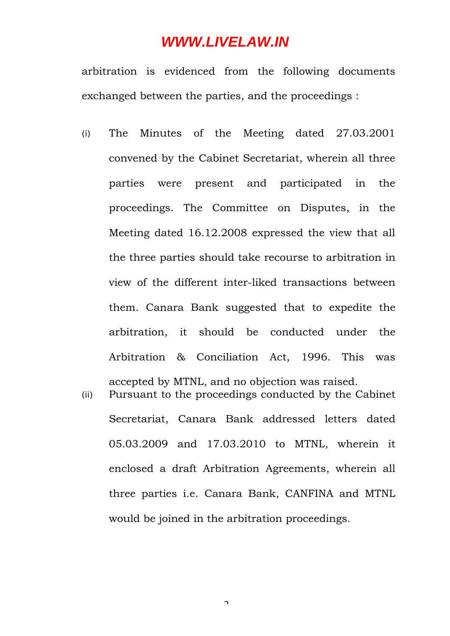arbitration is evidenced from the following documents exchanged between the parties, and the proceedings :

- (i) The Minutes of the Meeting dated 27.03.2001 convened by the Cabinet Secretariat, wherein all three parties were present and participated in the proceedings. The Committee on Disputes, in the Meeting dated 16.12.2008 expressed the view that all the three parties should take recourse to arbitration in view of the different inter-liked transactions between them. Canara Bank suggested that to expedite the arbitration, it should be conducted under the Arbitration & Conciliation Act, 1996. This was accepted by MTNL, and no objection was raised.
- (ii) Pursuant to the proceedings conducted by the Cabinet Secretariat, Canara Bank addressed letters dated 05.03.2009 and 17.03.2010 to MTNL, wherein it enclosed a draft Arbitration Agreements, wherein all three parties i.e. Canara Bank, CANFINA and MTNL would be joined in the arbitration proceedings.

 $\overline{a}$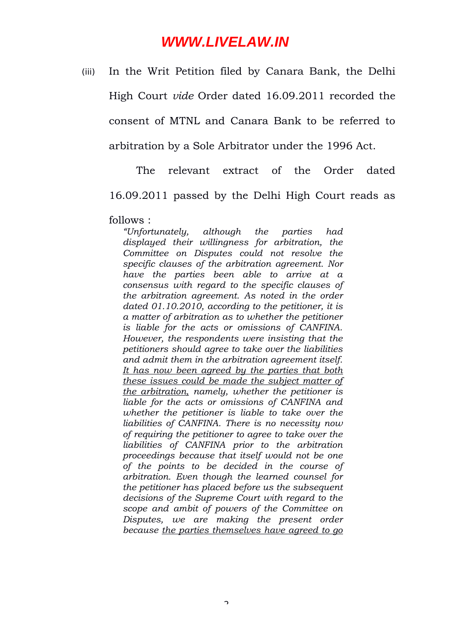(iii) In the Writ Petition filed by Canara Bank, the Delhi

High Court *vide* Order dated 16.09.2011 recorded the consent of MTNL and Canara Bank to be referred to arbitration by a Sole Arbitrator under the 1996 Act.

The relevant extract of the Order dated 16.09.2011 passed by the Delhi High Court reads as

follows :

*"Unfortunately, although the parties had displayed their willingness for arbitration, the Committee on Disputes could not resolve the specific clauses of the arbitration agreement. Nor have the parties been able to arrive at a consensus with regard to the specific clauses of the arbitration agreement. As noted in the order dated 01.10.2010, according to the petitioner, it is a matter of arbitration as to whether the petitioner is liable for the acts or omissions of CANFINA. However, the respondents were insisting that the petitioners should agree to take over the liabilities and admit them in the arbitration agreement itself. It has now been agreed by the parties that both these issues could be made the subject matter of the arbitration, namely, whether the petitioner is liable for the acts or omissions of CANFINA and whether the petitioner is liable to take over the liabilities of CANFINA. There is no necessity now of requiring the petitioner to agree to take over the liabilities of CANFINA prior to the arbitration proceedings because that itself would not be one of the points to be decided in the course of arbitration. Even though the learned counsel for the petitioner has placed before us the subsequent decisions of the Supreme Court with regard to the scope and ambit of powers of the Committee on Disputes, we are making the present order because the parties themselves have agreed to go*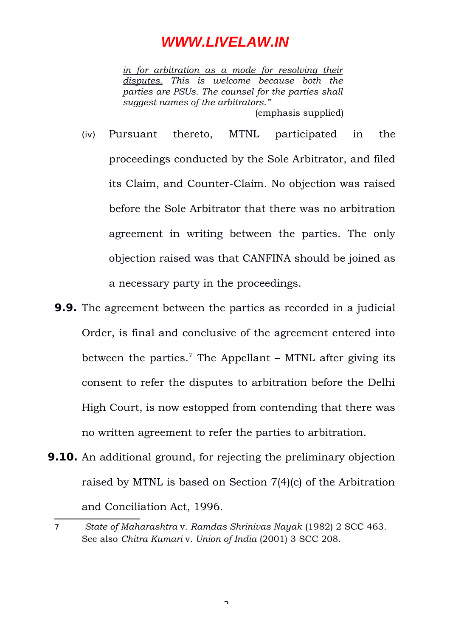*in for arbitration as a mode for resolving their disputes. This is welcome because both the parties are PSUs. The counsel for the parties shall suggest names of the arbitrators."*  (emphasis supplied)

- (iv) Pursuant thereto, MTNL participated in the proceedings conducted by the Sole Arbitrator, and filed its Claim, and Counter-Claim. No objection was raised before the Sole Arbitrator that there was no arbitration agreement in writing between the parties. The only objection raised was that CANFINA should be joined as a necessary party in the proceedings.
- **9.9.** The agreement between the parties as recorded in a judicial Order, is final and conclusive of the agreement entered into between the parties.<sup>[7](#page-22-0)</sup> The Appellant – MTNL after giving its consent to refer the disputes to arbitration before the Delhi High Court, is now estopped from contending that there was no written agreement to refer the parties to arbitration.
- **9.10.** An additional ground, for rejecting the preliminary objection raised by MTNL is based on Section 7(4)(c) of the Arbitration and Conciliation Act, 1996.

<span id="page-22-0"></span><sup>7</sup> *State of Maharashtra* v. *Ramdas Shrinivas Nayak* (1982) 2 SCC 463. See also *Chitra Kumari* v. *Union of India* (2001) 3 SCC 208.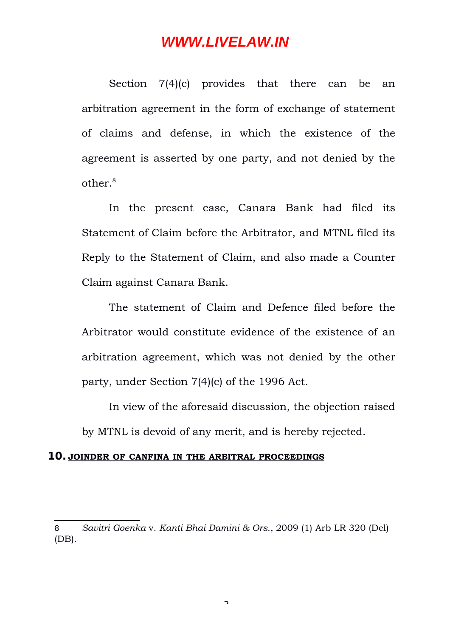Section 7(4)(c) provides that there can be an arbitration agreement in the form of exchange of statement of claims and defense, in which the existence of the agreement is asserted by one party, and not denied by the other $8$ 

In the present case, Canara Bank had filed its Statement of Claim before the Arbitrator, and MTNL filed its Reply to the Statement of Claim, and also made a Counter Claim against Canara Bank.

The statement of Claim and Defence filed before the Arbitrator would constitute evidence of the existence of an arbitration agreement, which was not denied by the other party, under Section 7(4)(c) of the 1996 Act.

In view of the aforesaid discussion, the objection raised by MTNL is devoid of any merit, and is hereby rejected.

#### **10. JOINDER OF CANFINA IN THE ARBITRAL PROCEEDINGS**

 $\overline{\phantom{0}}$ 

<span id="page-23-0"></span><sup>8</sup> *Savitri Goenka* v. *Kanti Bhai Damini & Ors.*, 2009 (1) Arb LR 320 (Del) (DB).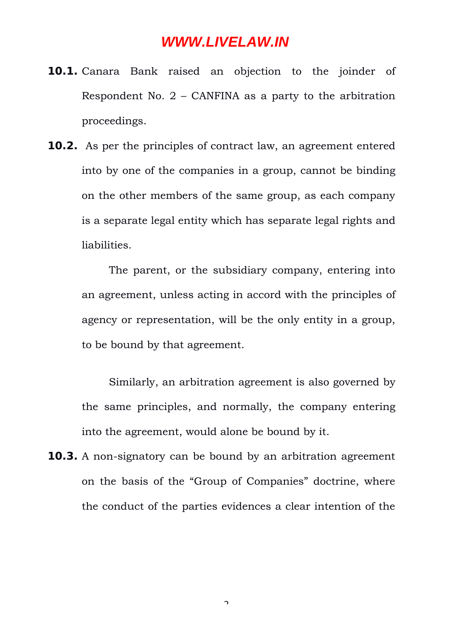- **10.1.** Canara Bank raised an objection to the joinder of Respondent No. 2 – CANFINA as a party to the arbitration proceedings.
- **10.2.** As per the principles of contract law, an agreement entered into by one of the companies in a group, cannot be binding on the other members of the same group, as each company is a separate legal entity which has separate legal rights and liabilities.

The parent, or the subsidiary company, entering into an agreement, unless acting in accord with the principles of agency or representation, will be the only entity in a group, to be bound by that agreement.

Similarly, an arbitration agreement is also governed by the same principles, and normally, the company entering into the agreement, would alone be bound by it.

**10.3.** A non-signatory can be bound by an arbitration agreement on the basis of the "Group of Companies" doctrine, where the conduct of the parties evidences a clear intention of the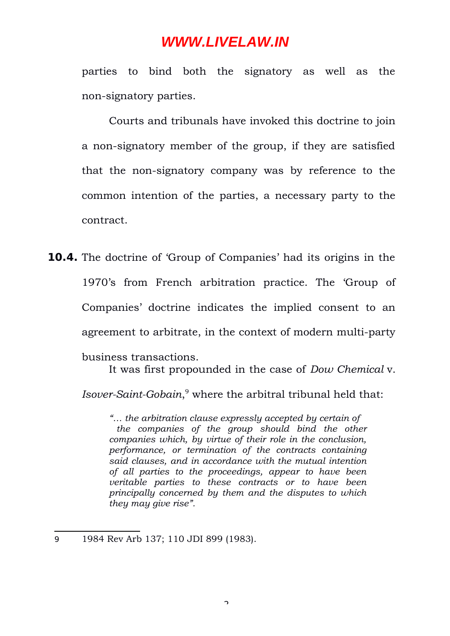parties to bind both the signatory as well as the non-signatory parties.

Courts and tribunals have invoked this doctrine to join a non-signatory member of the group, if they are satisfied that the non-signatory company was by reference to the common intention of the parties, a necessary party to the contract.

**10.4.** The doctrine of 'Group of Companies' had its origins in the 1970's from French arbitration practice. The 'Group of Companies' doctrine indicates the implied consent to an agreement to arbitrate, in the context of modern multi-party business transactions.

It was first propounded in the case of *Dow Chemical* v.

*Isover-Saint-Gobain*, [9](#page-25-0) where the arbitral tribunal held that:

*"… the arbitration clause expressly accepted by certain of the companies of the group should bind the other companies which, by virtue of their role in the conclusion, performance, or termination of the contracts containing said clauses, and in accordance with the mutual intention of all parties to the proceedings, appear to have been veritable parties to these contracts or to have been principally concerned by them and the disputes to which they may give rise".*

<span id="page-25-0"></span>9 1984 Rev Arb 137; 110 JDI 899 (1983).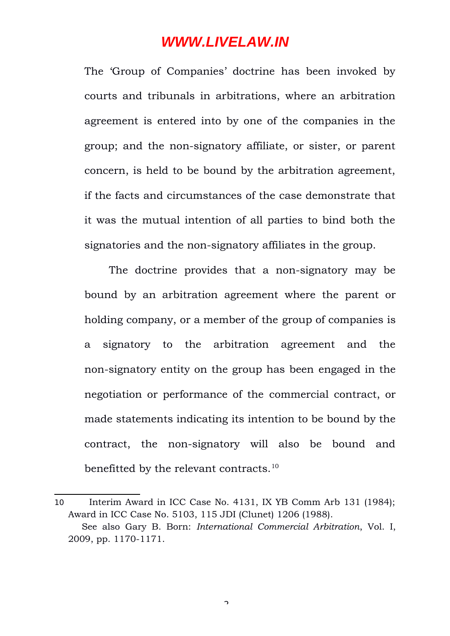The 'Group of Companies' doctrine has been invoked by courts and tribunals in arbitrations, where an arbitration agreement is entered into by one of the companies in the group; and the non-signatory affiliate, or sister, or parent concern, is held to be bound by the arbitration agreement, if the facts and circumstances of the case demonstrate that it was the mutual intention of all parties to bind both the signatories and the non-signatory affiliates in the group.

The doctrine provides that a non-signatory may be bound by an arbitration agreement where the parent or holding company, or a member of the group of companies is a signatory to the arbitration agreement and the non-signatory entity on the group has been engaged in the negotiation or performance of the commercial contract, or made statements indicating its intention to be bound by the contract, the non-signatory will also be bound and benefitted by the relevant contracts.<sup>[10](#page-26-0)</sup>

 $\overline{\phantom{0}}$ 

<span id="page-26-0"></span><sup>10</sup> Interim Award in ICC Case No. 4131, IX YB Comm Arb 131 (1984); Award in ICC Case No. 5103, 115 JDI (Clunet) 1206 (1988). See also Gary B. Born: *International Commercial Arbitration*, Vol. I, 2009, pp. 1170-1171.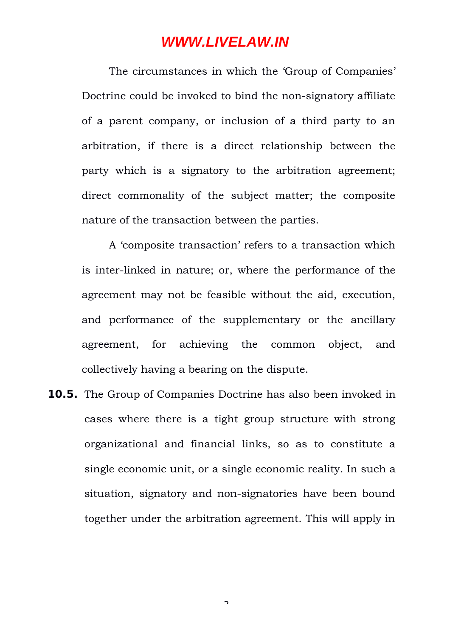The circumstances in which the 'Group of Companies' Doctrine could be invoked to bind the non-signatory affiliate of a parent company, or inclusion of a third party to an arbitration, if there is a direct relationship between the party which is a signatory to the arbitration agreement; direct commonality of the subject matter; the composite nature of the transaction between the parties.

A 'composite transaction' refers to a transaction which is inter-linked in nature; or, where the performance of the agreement may not be feasible without the aid, execution, and performance of the supplementary or the ancillary agreement, for achieving the common object, and collectively having a bearing on the dispute.

**10.5.** The Group of Companies Doctrine has also been invoked in cases where there is a tight group structure with strong organizational and financial links, so as to constitute a single economic unit, or a single economic reality. In such a situation, signatory and non-signatories have been bound together under the arbitration agreement. This will apply in

 $\overline{\phantom{0}}$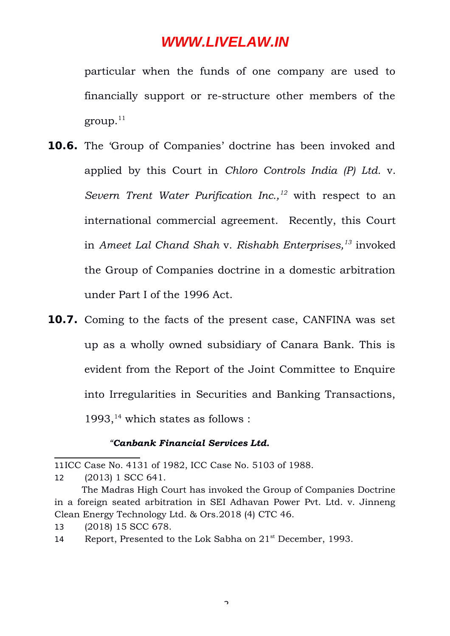particular when the funds of one company are used to financially support or re-structure other members of the  $\gamma$ group.<sup>[11](#page-28-0)</sup>

- **10.6.** The 'Group of Companies' doctrine has been invoked and applied by this Court in *Chloro Controls India (P) Ltd.* v. *Severn Trent Water Purification Inc.,[12](#page-28-1)* with respect to an international commercial agreement. Recently, this Court in *Ameet Lal Chand Shah* v. *Rishabh Enterprises,[13](#page-28-2)* invoked the Group of Companies doctrine in a domestic arbitration under Part I of the 1996 Act.
- **10.7.** Coming to the facts of the present case, CANFINA was set up as a wholly owned subsidiary of Canara Bank. This is evident from the Report of the Joint Committee to Enquire into Irregularities in Securities and Banking Transactions, 1993, $14$  which states as follows :

#### *"Canbank Financial Services Ltd.*

<span id="page-28-0"></span><sup>11</sup>ICC Case No. 4131 of 1982, ICC Case No. 5103 of 1988.

<span id="page-28-1"></span><sup>12</sup> (2013) 1 SCC 641.

The Madras High Court has invoked the Group of Companies Doctrine in a foreign seated arbitration in SEI Adhavan Power Pvt. Ltd. v. Jinneng Clean Energy Technology Ltd. & Ors.2018 (4) CTC 46.

<span id="page-28-2"></span><sup>13</sup> (2018) 15 SCC 678.

<span id="page-28-3"></span><sup>14</sup> Report, Presented to the Lok Sabha on 21<sup>st</sup> December, 1993.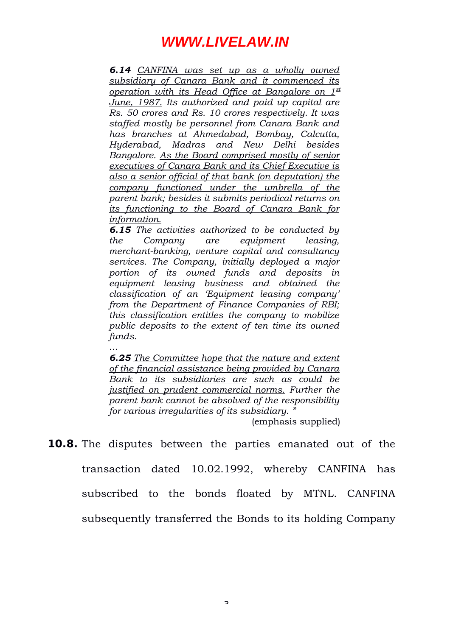*6.14 CANFINA was set up as a wholly owned subsidiary of Canara Bank and it commenced its operation with its Head Office at Bangalore on 1st June, 1987. Its authorized and paid up capital are Rs. 50 crores and Rs. 10 crores respectively. It was staffed mostly be personnel from Canara Bank and has branches at Ahmedabad, Bombay, Calcutta, Hyderabad, Madras and New Delhi besides Bangalore. As the Board comprised mostly of senior executives of Canara Bank and its Chief Executive is also a senior official of that bank (on deputation) the company functioned under the umbrella of the parent bank; besides it submits periodical returns on its functioning to the Board of Canara Bank for information.*

*6.15 The activities authorized to be conducted by the Company are equipment leasing, merchant-banking, venture capital and consultancy services. The Company, initially deployed a major portion of its owned funds and deposits in equipment leasing business and obtained the classification of an 'Equipment leasing company' from the Department of Finance Companies of RBI; this classification entitles the company to mobilize public deposits to the extent of ten time its owned funds.* 

*… 6.25 The Committee hope that the nature and extent of the financial assistance being provided by Canara Bank to its subsidiaries are such as could be justified on prudent commercial norms. Further the parent bank cannot be absolved of the responsibility for various irregularities of its subsidiary. "*

(emphasis supplied)

**10.8.** The disputes between the parties emanated out of the transaction dated 10.02.1992, whereby CANFINA has subscribed to the bonds floated by MTNL. CANFINA subsequently transferred the Bonds to its holding Company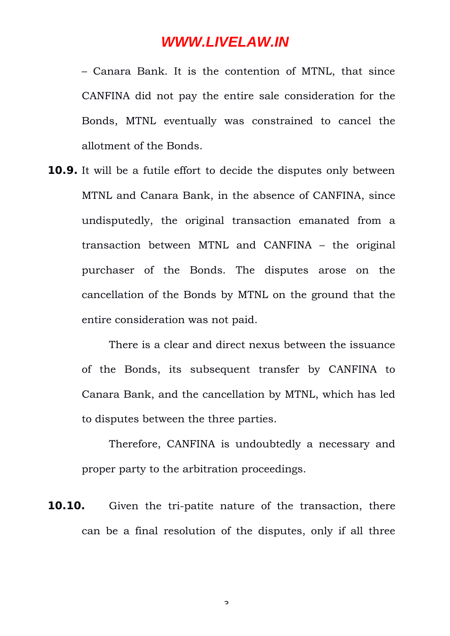– Canara Bank. It is the contention of MTNL, that since CANFINA did not pay the entire sale consideration for the Bonds, MTNL eventually was constrained to cancel the allotment of the Bonds.

**10.9.** It will be a futile effort to decide the disputes only between MTNL and Canara Bank, in the absence of CANFINA, since undisputedly, the original transaction emanated from a transaction between MTNL and CANFINA – the original purchaser of the Bonds. The disputes arose on the cancellation of the Bonds by MTNL on the ground that the entire consideration was not paid.

There is a clear and direct nexus between the issuance of the Bonds, its subsequent transfer by CANFINA to Canara Bank, and the cancellation by MTNL, which has led to disputes between the three parties.

Therefore, CANFINA is undoubtedly a necessary and proper party to the arbitration proceedings.

**10.10.** Given the tri-patite nature of the transaction, there can be a final resolution of the disputes, only if all three

 $\mathbf{z}$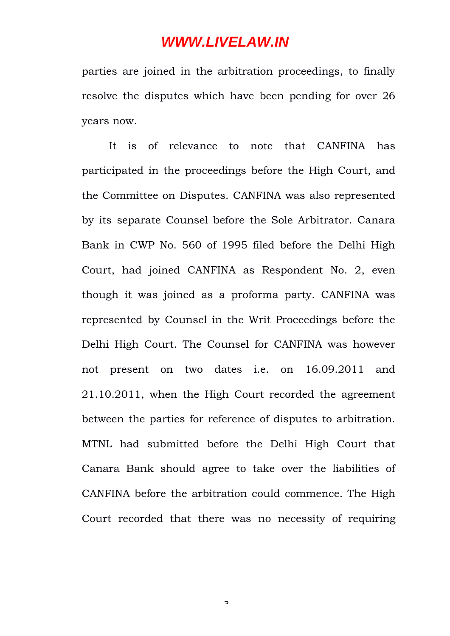parties are joined in the arbitration proceedings, to finally resolve the disputes which have been pending for over 26 years now.

It is of relevance to note that CANFINA has participated in the proceedings before the High Court, and the Committee on Disputes. CANFINA was also represented by its separate Counsel before the Sole Arbitrator. Canara Bank in CWP No. 560 of 1995 filed before the Delhi High Court, had joined CANFINA as Respondent No. 2, even though it was joined as a proforma party. CANFINA was represented by Counsel in the Writ Proceedings before the Delhi High Court. The Counsel for CANFINA was however not present on two dates i.e. on 16.09.2011 and 21.10.2011, when the High Court recorded the agreement between the parties for reference of disputes to arbitration. MTNL had submitted before the Delhi High Court that Canara Bank should agree to take over the liabilities of CANFINA before the arbitration could commence. The High Court recorded that there was no necessity of requiring

 $\mathbf{z}$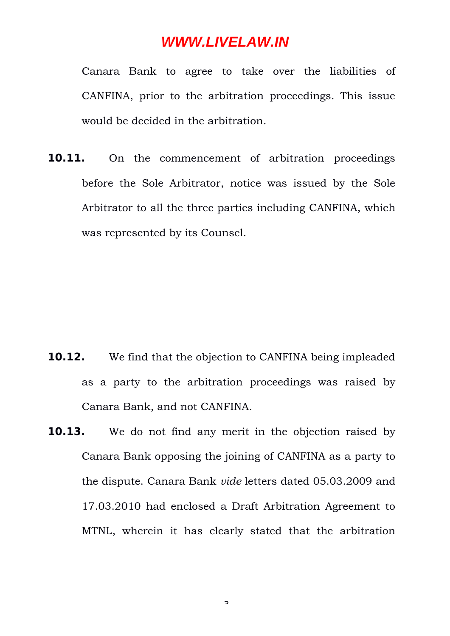Canara Bank to agree to take over the liabilities of CANFINA, prior to the arbitration proceedings. This issue would be decided in the arbitration.

**10.11.** On the commencement of arbitration proceedings before the Sole Arbitrator, notice was issued by the Sole Arbitrator to all the three parties including CANFINA, which was represented by its Counsel.

- **10.12.** We find that the objection to CANFINA being impleaded as a party to the arbitration proceedings was raised by Canara Bank, and not CANFINA.
- **10.13.** We do not find any merit in the objection raised by Canara Bank opposing the joining of CANFINA as a party to the dispute. Canara Bank *vide* letters dated 05.03.2009 and 17.03.2010 had enclosed a Draft Arbitration Agreement to MTNL, wherein it has clearly stated that the arbitration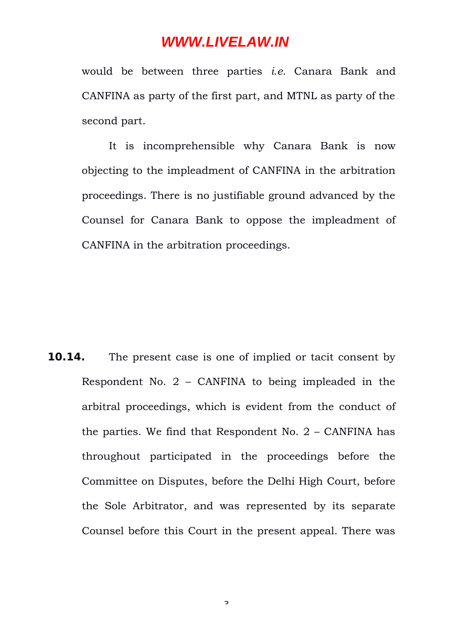would be between three parties *i.e.* Canara Bank and CANFINA as party of the first part, and MTNL as party of the second part.

It is incomprehensible why Canara Bank is now objecting to the impleadment of CANFINA in the arbitration proceedings. There is no justifiable ground advanced by the Counsel for Canara Bank to oppose the impleadment of CANFINA in the arbitration proceedings.

**10.14.** The present case is one of implied or tacit consent by Respondent No. 2 – CANFINA to being impleaded in the arbitral proceedings, which is evident from the conduct of the parties. We find that Respondent No. 2 – CANFINA has throughout participated in the proceedings before the Committee on Disputes, before the Delhi High Court, before the Sole Arbitrator, and was represented by its separate Counsel before this Court in the present appeal. There was

 $\mathbf{z}$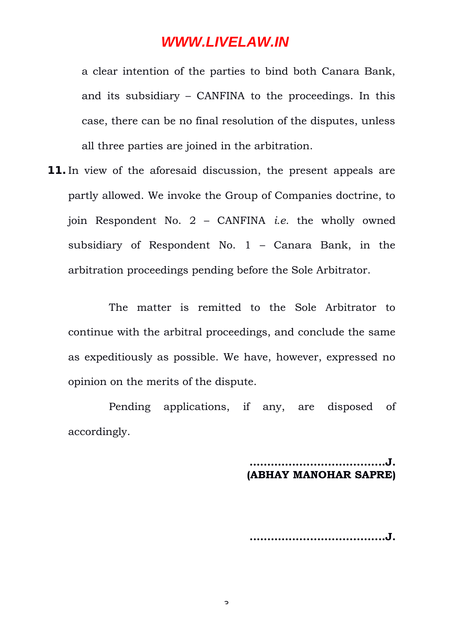a clear intention of the parties to bind both Canara Bank, and its subsidiary – CANFINA to the proceedings. In this case, there can be no final resolution of the disputes, unless all three parties are joined in the arbitration.

**11.**In view of the aforesaid discussion, the present appeals are partly allowed. We invoke the Group of Companies doctrine, to join Respondent No. 2 – CANFINA *i.e.* the wholly owned subsidiary of Respondent No. 1 – Canara Bank, in the arbitration proceedings pending before the Sole Arbitrator.

The matter is remitted to the Sole Arbitrator to continue with the arbitral proceedings, and conclude the same as expeditiously as possible. We have, however, expressed no opinion on the merits of the dispute.

Pending applications, if any, are disposed of accordingly.

> **…..……...........................J. (ABHAY MANOHAR SAPRE)**

> **..….……..........................J.**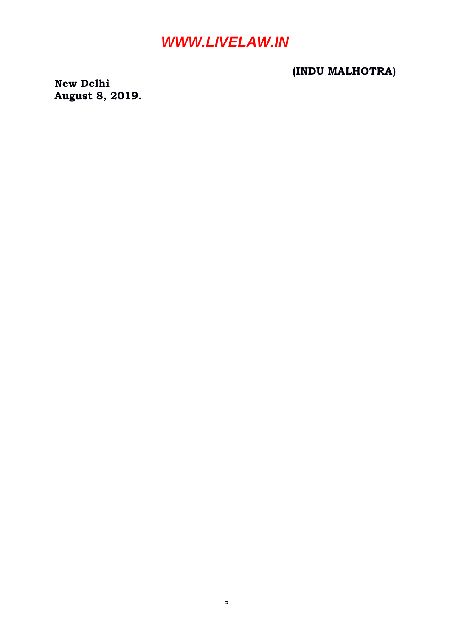#### **(INDU MALHOTRA)**

**New Delhi August 8, 2019.**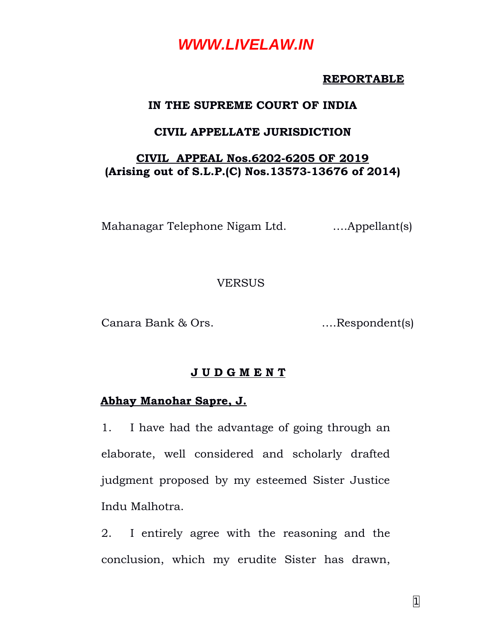#### **REPORTABLE**

#### **IN THE SUPREME COURT OF INDIA**

#### **CIVIL APPELLATE JURISDICTION**

#### **CIVIL APPEAL Nos.6202-6205 OF 2019 (Arising out of S.L.P.(C) Nos.13573-13676 of 2014)**

Mahanagar Telephone Nigam Ltd. ….Appellant(s)

#### **VERSUS**

Canara Bank & Ors. ….Respondent(s)

#### **J U D G M E N T**

#### **Abhay Manohar Sapre, J.**

1. I have had the advantage of going through an elaborate, well considered and scholarly drafted judgment proposed by my esteemed Sister Justice Indu Malhotra.

2. I entirely agree with the reasoning and the conclusion, which my erudite Sister has drawn,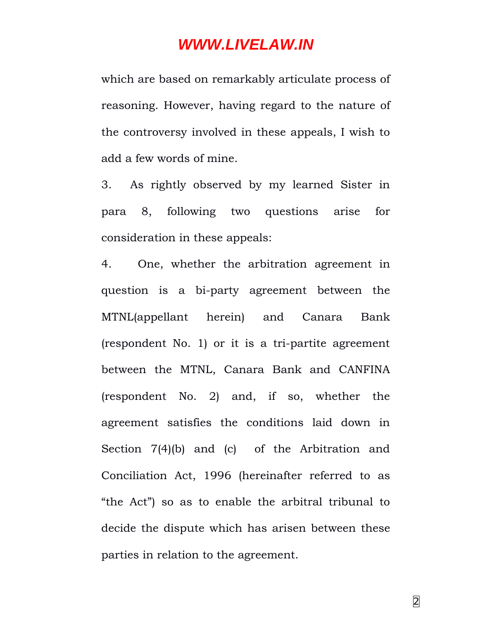which are based on remarkably articulate process of reasoning. However, having regard to the nature of the controversy involved in these appeals, I wish to add a few words of mine.

3. As rightly observed by my learned Sister in para 8, following two questions arise for consideration in these appeals:

4. One, whether the arbitration agreement in question is a bi-party agreement between the MTNL(appellant herein) and Canara Bank (respondent No. 1) or it is a tri-partite agreement between the MTNL, Canara Bank and CANFINA (respondent No. 2) and, if so, whether the agreement satisfies the conditions laid down in Section 7(4)(b) and (c) of the Arbitration and Conciliation Act, 1996 (hereinafter referred to as "the Act") so as to enable the arbitral tribunal to decide the dispute which has arisen between these parties in relation to the agreement.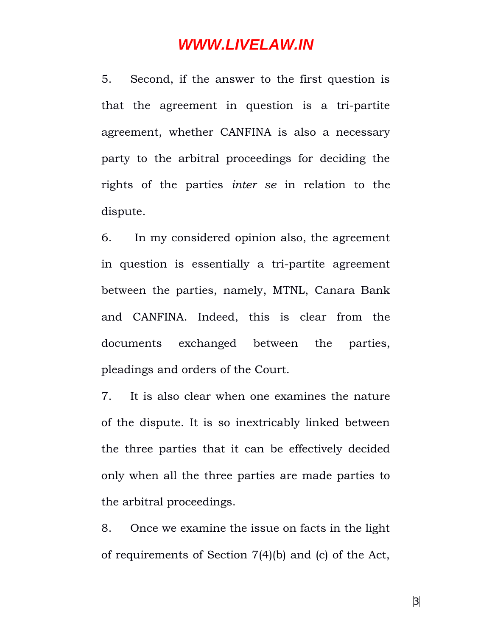5. Second, if the answer to the first question is that the agreement in question is a tri-partite agreement, whether CANFINA is also a necessary party to the arbitral proceedings for deciding the rights of the parties *inter se* in relation to the dispute.

6. In my considered opinion also, the agreement in question is essentially a tri-partite agreement between the parties, namely, MTNL, Canara Bank and CANFINA. Indeed, this is clear from the documents exchanged between the parties, pleadings and orders of the Court.

7. It is also clear when one examines the nature of the dispute. It is so inextricably linked between the three parties that it can be effectively decided only when all the three parties are made parties to the arbitral proceedings.

8. Once we examine the issue on facts in the light of requirements of Section 7(4)(b) and (c) of the Act,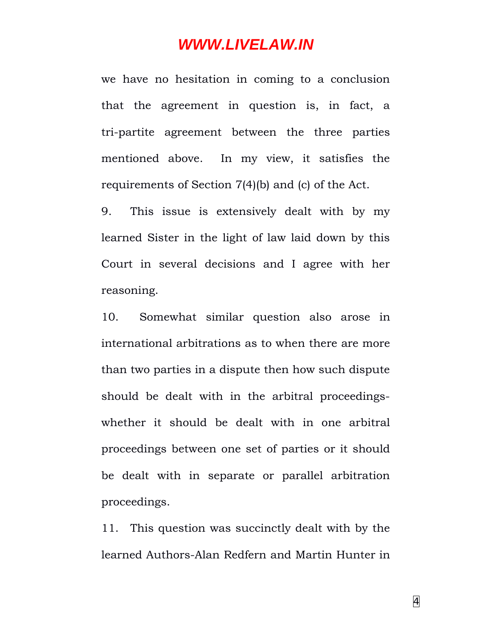we have no hesitation in coming to a conclusion that the agreement in question is, in fact, a tri-partite agreement between the three parties mentioned above. In my view, it satisfies the requirements of Section 7(4)(b) and (c) of the Act.

9. This issue is extensively dealt with by my learned Sister in the light of law laid down by this Court in several decisions and I agree with her reasoning.

10. Somewhat similar question also arose in international arbitrations as to when there are more than two parties in a dispute then how such dispute should be dealt with in the arbitral proceedingswhether it should be dealt with in one arbitral proceedings between one set of parties or it should be dealt with in separate or parallel arbitration proceedings.

11. This question was succinctly dealt with by the learned Authors-Alan Redfern and Martin Hunter in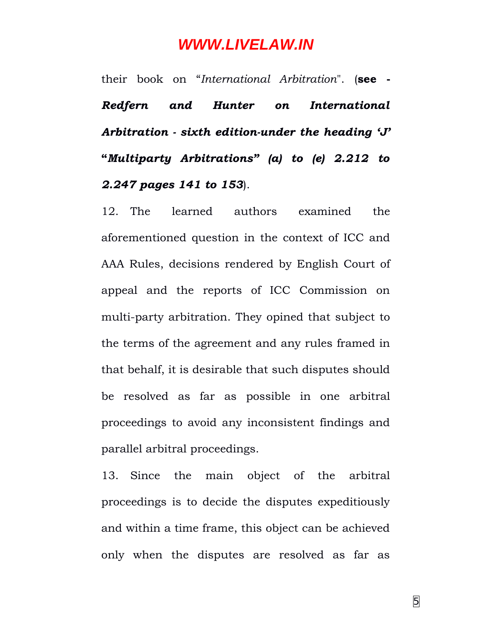their book on "*International Arbitration*". (**see -** *Redfern and Hunter on International Arbitration - sixth edition-under the heading 'J'* **"***Multiparty Arbitrations" (a) to (e) 2.212 to 2.247 pages 141 to 153*).

12. The learned authors examined the aforementioned question in the context of ICC and AAA Rules, decisions rendered by English Court of appeal and the reports of ICC Commission on multi-party arbitration. They opined that subject to the terms of the agreement and any rules framed in that behalf, it is desirable that such disputes should be resolved as far as possible in one arbitral proceedings to avoid any inconsistent findings and parallel arbitral proceedings.

13. Since the main object of the arbitral proceedings is to decide the disputes expeditiously and within a time frame, this object can be achieved only when the disputes are resolved as far as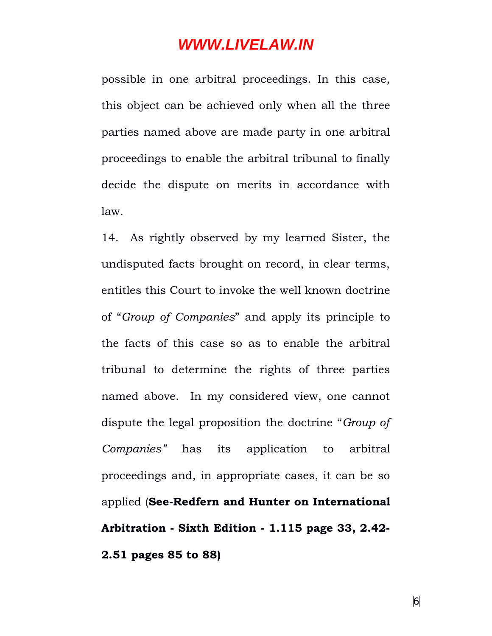possible in one arbitral proceedings. In this case, this object can be achieved only when all the three parties named above are made party in one arbitral proceedings to enable the arbitral tribunal to finally decide the dispute on merits in accordance with law.

14. As rightly observed by my learned Sister, the undisputed facts brought on record, in clear terms, entitles this Court to invoke the well known doctrine of "*Group of Companies*" and apply its principle to the facts of this case so as to enable the arbitral tribunal to determine the rights of three parties named above. In my considered view, one cannot dispute the legal proposition the doctrine "*Group of Companies"* has its application to arbitral proceedings and, in appropriate cases, it can be so applied (**See-Redfern and Hunter on International Arbitration - Sixth Edition - 1.115 page 33, 2.42- 2.51 pages 85 to 88)**